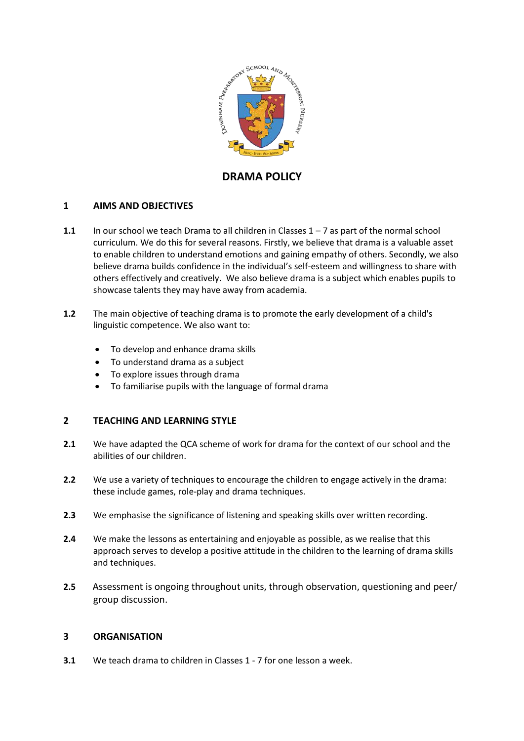

# **DRAMA POLICY**

# **1 AIMS AND OBJECTIVES**

- **1.1** In our school we teach Drama to all children in Classes 1 7 as part of the normal school curriculum. We do this for several reasons. Firstly, we believe that drama is a valuable asset to enable children to understand emotions and gaining empathy of others. Secondly, we also believe drama builds confidence in the individual's self-esteem and willingness to share with others effectively and creatively. We also believe drama is a subject which enables pupils to showcase talents they may have away from academia.
- **1.2** The main objective of teaching drama is to promote the early development of a child's linguistic competence. We also want to:
	- To develop and enhance drama skills
	- To understand drama as a subject
	- To explore issues through drama
	- To familiarise pupils with the language of formal drama

### **2 TEACHING AND LEARNING STYLE**

- **2.1** We have adapted the QCA scheme of work for drama for the context of our school and the abilities of our children.
- **2.2** We use a variety of techniques to encourage the children to engage actively in the drama: these include games, role-play and drama techniques.
- **2.3** We emphasise the significance of listening and speaking skills over written recording.
- **2.4** We make the lessons as entertaining and enjoyable as possible, as we realise that this approach serves to develop a positive attitude in the children to the learning of drama skills and techniques.
- **2.5** Assessment is ongoing throughout units, through observation, questioning and peer/ group discussion.

#### **3 ORGANISATION**

**3.1** We teach drama to children in Classes 1 - 7 for one lesson a week.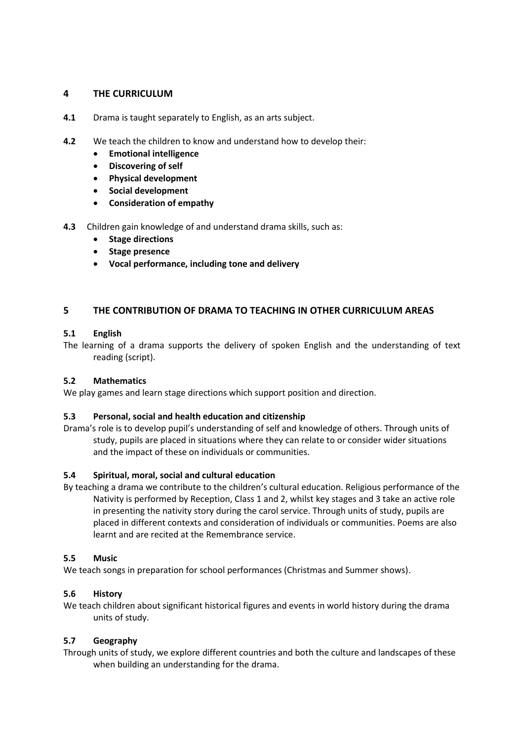### **4 THE CURRICULUM**

- **4.1** Drama is taught separately to English, as an arts subject.
- **4.2** We teach the children to know and understand how to develop their:
	- **Emotional intelligence**
	- **Discovering of self**
	- **Physical development**
	- **•** Social development
	- **Consideration of empathy**
- **4.3** Children gain knowledge of and understand drama skills, such as:
	- **•** Stage directions
	- **•** Stage presence
	- **Vocal performance, including tone and delivery**

### **5 THE CONTRIBUTION OF DRAMA TO TEACHING IN OTHER CURRICULUM AREAS**

#### **5.1 English**

The learning of a drama supports the delivery of spoken English and the understanding of text reading (script).

#### **5.2 Mathematics**

We play games and learn stage directions which support position and direction.

#### **5.3 Personal, social and health education and citizenship**

Drama's role is to develop pupil's understanding of self and knowledge of others. Through units of study, pupils are placed in situations where they can relate to or consider wider situations and the impact of these on individuals or communities.

### **5.4 Spiritual, moral, social and cultural education**

By teaching a drama we contribute to the children's cultural education. Religious performance of the Nativity is performed by Reception, Class 1 and 2, whilst key stages and 3 take an active role in presenting the nativity story during the carol service. Through units of study, pupils are placed in different contexts and consideration of individuals or communities. Poems are also learnt and are recited at the Remembrance service.

#### **5.5 Music**

We teach songs in preparation for school performances (Christmas and Summer shows).

### **5.6 History**

We teach children about significant historical figures and events in world history during the drama units of study.

# **5.7 Geography**

Through units of study, we explore different countries and both the culture and landscapes of these when building an understanding for the drama.